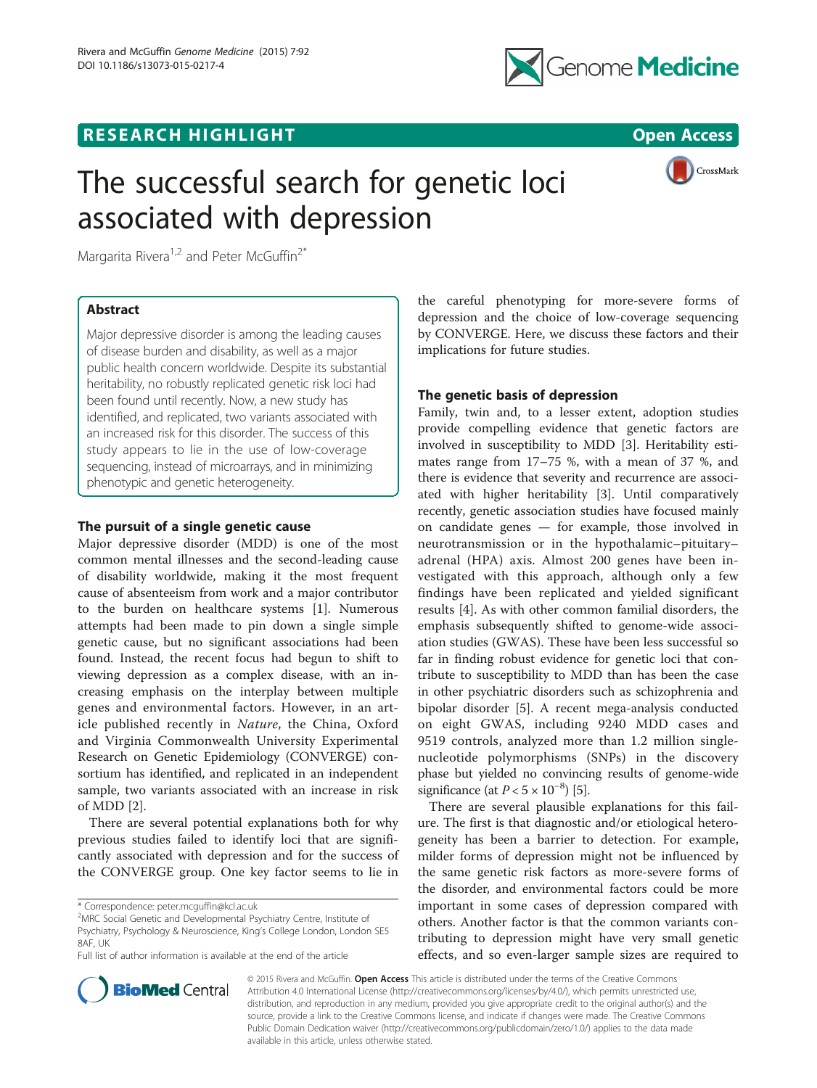## **RESEARCH HIGHLIGHT CONSUMING THE OPEN ACCESS**



# The successful search for genetic loci associated with depression



Margarita Rivera<sup>1,2</sup> and Peter McGuffin<sup>2\*</sup>

## Abstract

Major depressive disorder is among the leading causes of disease burden and disability, as well as a major public health concern worldwide. Despite its substantial heritability, no robustly replicated genetic risk loci had been found until recently. Now, a new study has identified, and replicated, two variants associated with an increased risk for this disorder. The success of this study appears to lie in the use of low-coverage sequencing, instead of microarrays, and in minimizing phenotypic and genetic heterogeneity.

## The pursuit of a single genetic cause

Major depressive disorder (MDD) is one of the most common mental illnesses and the second-leading cause of disability worldwide, making it the most frequent cause of absenteeism from work and a major contributor to the burden on healthcare systems [[1\]](#page-1-0). Numerous attempts had been made to pin down a single simple genetic cause, but no significant associations had been found. Instead, the recent focus had begun to shift to viewing depression as a complex disease, with an increasing emphasis on the interplay between multiple genes and environmental factors. However, in an article published recently in Nature, the China, Oxford and Virginia Commonwealth University Experimental Research on Genetic Epidemiology (CONVERGE) consortium has identified, and replicated in an independent sample, two variants associated with an increase in risk of MDD [\[2](#page-2-0)].

There are several potential explanations both for why previous studies failed to identify loci that are significantly associated with depression and for the success of the CONVERGE group. One key factor seems to lie in

\* Correspondence: [peter.mcguffin@kcl.ac.uk](mailto:peter.mcguffin@kcl.ac.uk) <sup>2</sup>



### The genetic basis of depression

Family, twin and, to a lesser extent, adoption studies provide compelling evidence that genetic factors are involved in susceptibility to MDD [\[3](#page-2-0)]. Heritability estimates range from 17–75 %, with a mean of 37 %, and there is evidence that severity and recurrence are associated with higher heritability [[3\]](#page-2-0). Until comparatively recently, genetic association studies have focused mainly on candidate genes — for example, those involved in neurotransmission or in the hypothalamic–pituitary– adrenal (HPA) axis. Almost 200 genes have been investigated with this approach, although only a few findings have been replicated and yielded significant results [[4\]](#page-2-0). As with other common familial disorders, the emphasis subsequently shifted to genome-wide association studies (GWAS). These have been less successful so far in finding robust evidence for genetic loci that contribute to susceptibility to MDD than has been the case in other psychiatric disorders such as schizophrenia and bipolar disorder [[5\]](#page-2-0). A recent mega-analysis conducted on eight GWAS, including 9240 MDD cases and 9519 controls, analyzed more than 1.2 million singlenucleotide polymorphisms (SNPs) in the discovery phase but yielded no convincing results of genome-wide significance (at  $P < 5 \times 10^{-8}$ ) [\[5](#page-2-0)].

There are several plausible explanations for this failure. The first is that diagnostic and/or etiological heterogeneity has been a barrier to detection. For example, milder forms of depression might not be influenced by the same genetic risk factors as more-severe forms of the disorder, and environmental factors could be more important in some cases of depression compared with others. Another factor is that the common variants contributing to depression might have very small genetic effects, and so even-larger sample sizes are required to



© 2015 Rivera and McGuffin. Open Access This article is distributed under the terms of the Creative Commons Attribution 4.0 International License [\(http://creativecommons.org/licenses/by/4.0/\)](http://creativecommons.org/licenses/by/4.0/), which permits unrestricted use, distribution, and reproduction in any medium, provided you give appropriate credit to the original author(s) and the source, provide a link to the Creative Commons license, and indicate if changes were made. The Creative Commons Public Domain Dedication waiver ([http://creativecommons.org/publicdomain/zero/1.0/\)](http://creativecommons.org/publicdomain/zero/1.0/) applies to the data made available in this article, unless otherwise stated.

MRC Social Genetic and Developmental Psychiatry Centre, Institute of Psychiatry, Psychology & Neuroscience, King's College London, London SE5 8AF, UK

Full list of author information is available at the end of the article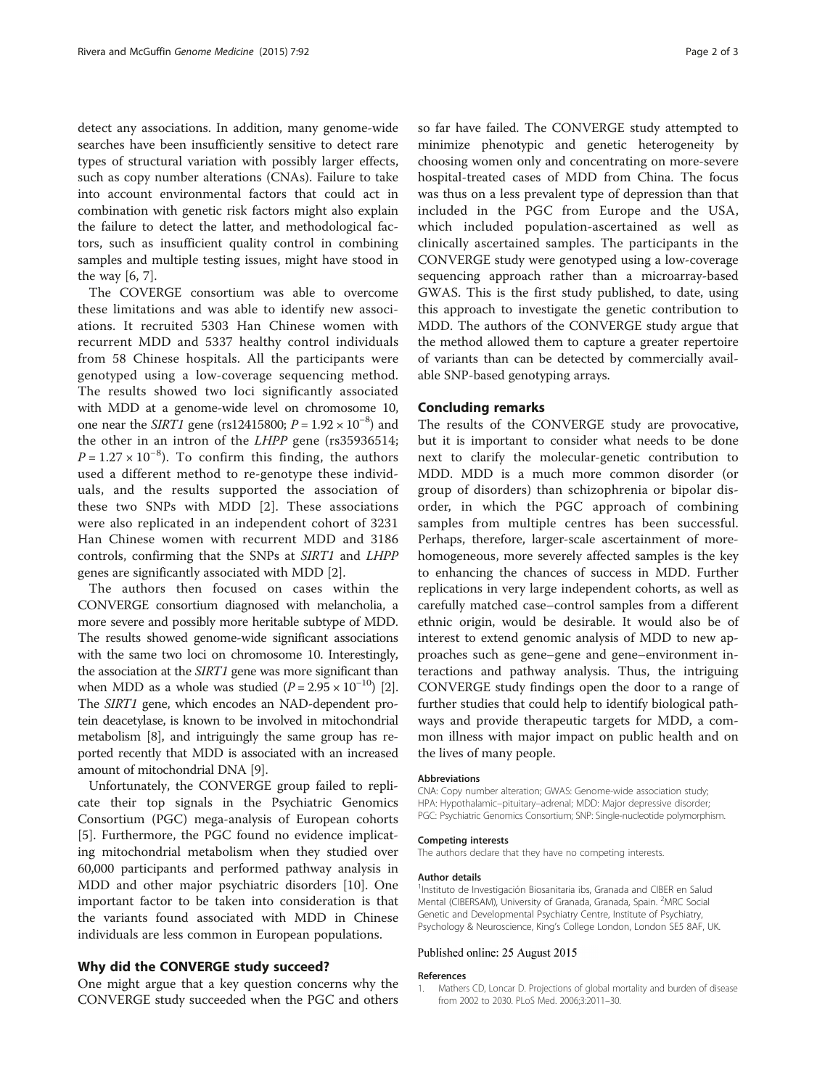<span id="page-1-0"></span>detect any associations. In addition, many genome-wide searches have been insufficiently sensitive to detect rare types of structural variation with possibly larger effects, such as copy number alterations (CNAs). Failure to take into account environmental factors that could act in combination with genetic risk factors might also explain the failure to detect the latter, and methodological factors, such as insufficient quality control in combining samples and multiple testing issues, might have stood in the way [\[6](#page-2-0), [7](#page-2-0)].

The COVERGE consortium was able to overcome these limitations and was able to identify new associations. It recruited 5303 Han Chinese women with recurrent MDD and 5337 healthy control individuals from 58 Chinese hospitals. All the participants were genotyped using a low-coverage sequencing method. The results showed two loci significantly associated with MDD at a genome-wide level on chromosome 10, one near the *SIRT1* gene (rs12415800;  $P = 1.92 \times 10^{-8}$ ) and the other in an intron of the LHPP gene (rs35936514;  $P = 1.27 \times 10^{-8}$ ). To confirm this finding, the authors used a different method to re-genotype these individuals, and the results supported the association of these two SNPs with MDD [\[2](#page-2-0)]. These associations were also replicated in an independent cohort of 3231 Han Chinese women with recurrent MDD and 3186 controls, confirming that the SNPs at SIRT1 and LHPP genes are significantly associated with MDD [[2\]](#page-2-0).

The authors then focused on cases within the CONVERGE consortium diagnosed with melancholia, a more severe and possibly more heritable subtype of MDD. The results showed genome-wide significant associations with the same two loci on chromosome 10. Interestingly, the association at the SIRT1 gene was more significant than when MDD as a whole was studied  $(P = 2.95 \times 10^{-10})$  $(P = 2.95 \times 10^{-10})$  $(P = 2.95 \times 10^{-10})$  [2]. The SIRT1 gene, which encodes an NAD-dependent protein deacetylase, is known to be involved in mitochondrial metabolism [\[8\]](#page-2-0), and intriguingly the same group has reported recently that MDD is associated with an increased amount of mitochondrial DNA [\[9](#page-2-0)].

Unfortunately, the CONVERGE group failed to replicate their top signals in the Psychiatric Genomics Consortium (PGC) mega-analysis of European cohorts [[5\]](#page-2-0). Furthermore, the PGC found no evidence implicating mitochondrial metabolism when they studied over 60,000 participants and performed pathway analysis in MDD and other major psychiatric disorders [\[10](#page-2-0)]. One important factor to be taken into consideration is that the variants found associated with MDD in Chinese individuals are less common in European populations.

#### Why did the CONVERGE study succeed?

One might argue that a key question concerns why the CONVERGE study succeeded when the PGC and others so far have failed. The CONVERGE study attempted to minimize phenotypic and genetic heterogeneity by choosing women only and concentrating on more-severe hospital-treated cases of MDD from China. The focus was thus on a less prevalent type of depression than that included in the PGC from Europe and the USA, which included population-ascertained as well as clinically ascertained samples. The participants in the CONVERGE study were genotyped using a low-coverage sequencing approach rather than a microarray-based GWAS. This is the first study published, to date, using this approach to investigate the genetic contribution to MDD. The authors of the CONVERGE study argue that the method allowed them to capture a greater repertoire of variants than can be detected by commercially available SNP-based genotyping arrays.

#### Concluding remarks

The results of the CONVERGE study are provocative, but it is important to consider what needs to be done next to clarify the molecular-genetic contribution to MDD. MDD is a much more common disorder (or group of disorders) than schizophrenia or bipolar disorder, in which the PGC approach of combining samples from multiple centres has been successful. Perhaps, therefore, larger-scale ascertainment of morehomogeneous, more severely affected samples is the key to enhancing the chances of success in MDD. Further replications in very large independent cohorts, as well as carefully matched case–control samples from a different ethnic origin, would be desirable. It would also be of interest to extend genomic analysis of MDD to new approaches such as gene–gene and gene–environment interactions and pathway analysis. Thus, the intriguing CONVERGE study findings open the door to a range of further studies that could help to identify biological pathways and provide therapeutic targets for MDD, a common illness with major impact on public health and on the lives of many people.

#### Abbreviations

CNA: Copy number alteration; GWAS: Genome-wide association study; HPA: Hypothalamic–pituitary–adrenal; MDD: Major depressive disorder; PGC: Psychiatric Genomics Consortium; SNP: Single-nucleotide polymorphism.

#### Competing interests

The authors declare that they have no competing interests.

#### Author details

<sup>1</sup>Instituto de Investigación Biosanitaria ibs, Granada and CIBER en Salud Mental (CIBERSAM), University of Granada, Granada, Spain. <sup>2</sup>MRC Social Genetic and Developmental Psychiatry Centre, Institute of Psychiatry, Psychology & Neuroscience, King's College London, London SE5 8AF, UK.

#### Published online: 25 August 2015

#### References

1. Mathers CD, Loncar D. Projections of global mortality and burden of disease from 2002 to 2030. PLoS Med. 2006;3:2011–30.